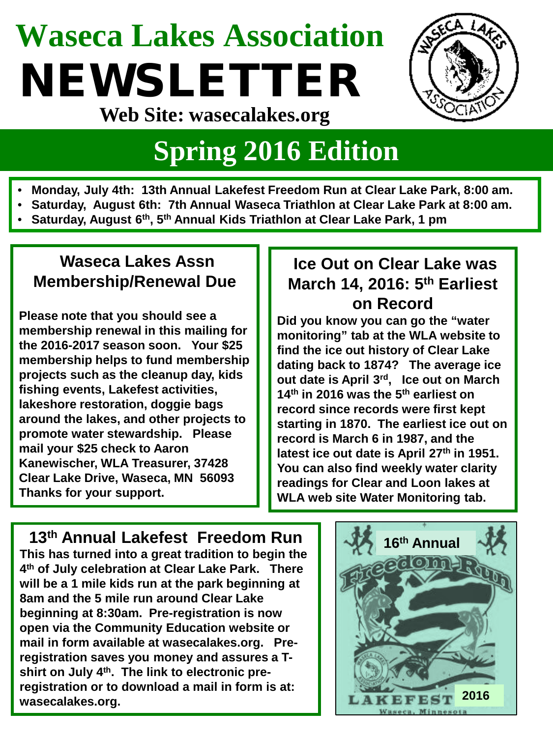# **Waseca Lakes Association** NEWSLETTER



**Web Site: wasecalakes.org**

### **Spring 2016 Edition**

- **Monday, July 4th: 13th Annual Lakefest Freedom Run at Clear Lake Park, 8:00 am.**
- **Saturday, August 6th: 7th Annual Waseca Triathlon at Clear Lake Park at 8:00 am.**
- **Saturday, August 6th, 5th Annual Kids Triathlon at Clear Lake Park, 1 pm**

#### **Waseca Lakes Assn Membership/Renewal Due**

**Please note that you should see a membership renewal in this mailing for the 2016-2017 season soon. Your \$25 membership helps to fund membership projects such as the cleanup day, kids fishing events, Lakefest activities, lakeshore restoration, doggie bags around the lakes, and other projects to promote water stewardship. Please mail your \$25 check to Aaron Kanewischer, WLA Treasurer, 37428 Clear Lake Drive, Waseca, MN 56093 Thanks for your support.**

#### **Ice Out on Clear Lake was March 14, 2016: 5th Earliest on Record**

**Did you know you can go the "water monitoring" tab at the WLA website to find the ice out history of Clear Lake dating back to 1874? The average ice out date is April 3rd, Ice out on March 14th in 2016 was the 5th earliest on record since records were first kept starting in 1870. The earliest ice out on record is March 6 in 1987, and the latest ice out date is April 27th in 1951. You can also find weekly water clarity readings for Clear and Loon lakes at WLA web site Water Monitoring tab.**

#### **13th Annual Lakefest Freedom Run**

**This has turned into a great tradition to begin the 4th of July celebration at Clear Lake Park. There will be a 1 mile kids run at the park beginning at 8am and the 5 mile run around Clear Lake beginning at 8:30am. Pre-registration is now open via the Community Education website or mail in form available at wasecalakes.org. Preregistration saves you money and assures a Tshirt on July 4th. The link to electronic preregistration or to download a mail in form is at: wasecalakes.org.**